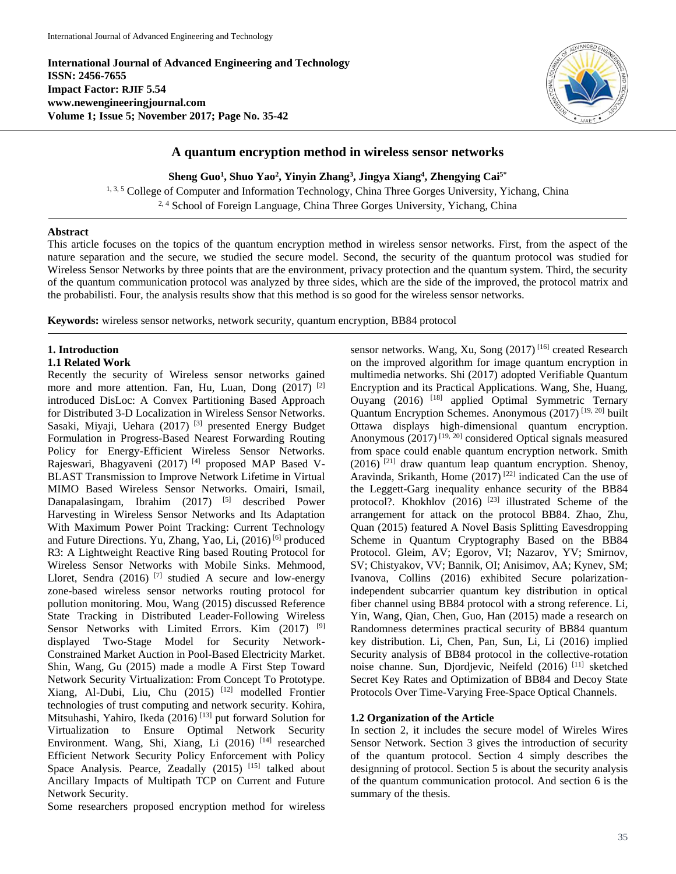**International Journal of Advanced Engineering and Technology ISSN: 2456-7655 Impact Factor: RJIF 5.54 www.newengineeringjournal.com Volume 1; Issue 5; November 2017; Page No. 35-42**



# **A quantum encryption method in wireless sensor networks**

**Sheng Guo<sup>1</sup> , Shuo Yao<sup>2</sup> , Yinyin Zhang<sup>3</sup> , Jingya Xiang<sup>4</sup> , Zhengying Cai5\***

<sup>1, 3, 5</sup> College of Computer and Information Technology, China Three Gorges University, Yichang, China <sup>2, 4</sup> School of Foreign Language, China Three Gorges University, Yichang, China

# **Abstract**

This article focuses on the topics of the quantum encryption method in wireless sensor networks. First, from the aspect of the nature separation and the secure, we studied the secure model. Second, the security of the quantum protocol was studied for Wireless Sensor Networks by three points that are the environment, privacy protection and the quantum system. Third, the security of the quantum communication protocol was analyzed by three sides, which are the side of the improved, the protocol matrix and the probabilisti. Four, the analysis results show that this method is so good for the wireless sensor networks.

**Keywords:** wireless sensor networks, network security, quantum encryption, BB84 protocol

# **1. Introduction**

### **1.1 Related Work**

Recently the security of Wireless sensor networks gained more and more attention. Fan, Hu, Luan, Dong (2017) <sup>[2]</sup> introduced DisLoc: A Convex Partitioning Based Approach for Distributed 3-D Localization in Wireless Sensor Networks. Sasaki, Miyaji, Uehara (2017) [3] presented Energy Budget Formulation in Progress-Based Nearest Forwarding Routing Policy for Energy-Efficient Wireless Sensor Networks. Rajeswari, Bhagyaveni (2017) [4] proposed MAP Based V-BLAST Transmission to Improve Network Lifetime in Virtual MIMO Based Wireless Sensor Networks. Omairi, Ismail, Danapalasingam, Ibrahim (2017) <sup>[5]</sup> described Power Harvesting in Wireless Sensor Networks and Its Adaptation With Maximum Power Point Tracking: Current Technology and Future Directions. Yu, Zhang, Yao, Li, (2016)<sup>[6]</sup> produced R3: A Lightweight Reactive Ring based Routing Protocol for Wireless Sensor Networks with Mobile Sinks. Mehmood, Lloret, Sendra  $(2016)$ <sup>[7]</sup> studied A secure and low-energy zone-based wireless sensor networks routing protocol for pollution monitoring. Mou, Wang (2015) discussed Reference State Tracking in Distributed Leader-Following Wireless Sensor Networks with Limited Errors. Kim (2017) <sup>[9]</sup> displayed Two-Stage Model for Security Network-Constrained Market Auction in Pool-Based Electricity Market. Shin, Wang, Gu (2015) made a modle A First Step Toward Network Security Virtualization: From Concept To Prototype. Xiang, Al-Dubi, Liu, Chu (2015) [12] modelled Frontier technologies of trust computing and network security. Kohira, Mitsuhashi, Yahiro, Ikeda (2016) [13] put forward Solution for Virtualization to Ensure Optimal Network Security Environment. Wang, Shi, Xiang, Li (2016)<sup>[14]</sup> researched Efficient Network Security Policy Enforcement with Policy Space Analysis. Pearce, Zeadally (2015)<sup>[15]</sup> talked about Ancillary Impacts of Multipath TCP on Current and Future Network Security.

Some researchers proposed encryption method for wireless

sensor networks. Wang, Xu, Song (2017)<sup>[16]</sup> created Research on the improved algorithm for image quantum encryption in multimedia networks. Shi (2017) adopted Verifiable Quantum Encryption and its Practical Applications. Wang, She, Huang, Ouyang (2016) <sup>[18]</sup> applied Optimal Symmetric Ternary Quantum Encryption Schemes. Anonymous (2017) [19, 20] built Ottawa displays high-dimensional quantum encryption. Anonymous  $(2017)^{[19, 20]}$  considered Optical signals measured from space could enable quantum encryption network. Smith  $(2016)$ <sup>[21]</sup> draw quantum leap quantum encryption. Shenoy, Aravinda, Srikanth, Home (2017)<sup>[22]</sup> indicated Can the use of the Leggett-Garg inequality enhance security of the BB84 protocol?. Khokhlov (2016)<sup>[23]</sup> illustrated Scheme of the arrangement for attack on the protocol BB84. Zhao, Zhu, Quan (2015) featured A Novel Basis Splitting Eavesdropping Scheme in Quantum Cryptography Based on the BB84 Protocol. Gleim, AV; Egorov, VI; Nazarov, YV; Smirnov, SV; Chistyakov, VV; Bannik, OI; Anisimov, AA; Kynev, SM; Ivanova, Collins (2016) exhibited Secure polarizationindependent subcarrier quantum key distribution in optical fiber channel using BB84 protocol with a strong reference. Li, Yin, Wang, Qian, Chen, Guo, Han (2015) made a research on Randomness determines practical security of BB84 quantum key distribution. Li, Chen, Pan, Sun, Li, Li (2016) implied Security analysis of BB84 protocol in the collective-rotation noise channe. Sun, Djordjevic, Neifeld (2016) [11] sketched Secret Key Rates and Optimization of BB84 and Decoy State Protocols Over Time-Varying Free-Space Optical Channels.

# **1.2 Organization of the Article**

In section 2, it includes the secure model of Wireles Wires Sensor Network. Section 3 gives the introduction of security of the quantum protocol. Section 4 simply describes the designning of protocol. Section 5 is about the security analysis of the quantum communication protocol. And section 6 is the summary of the thesis.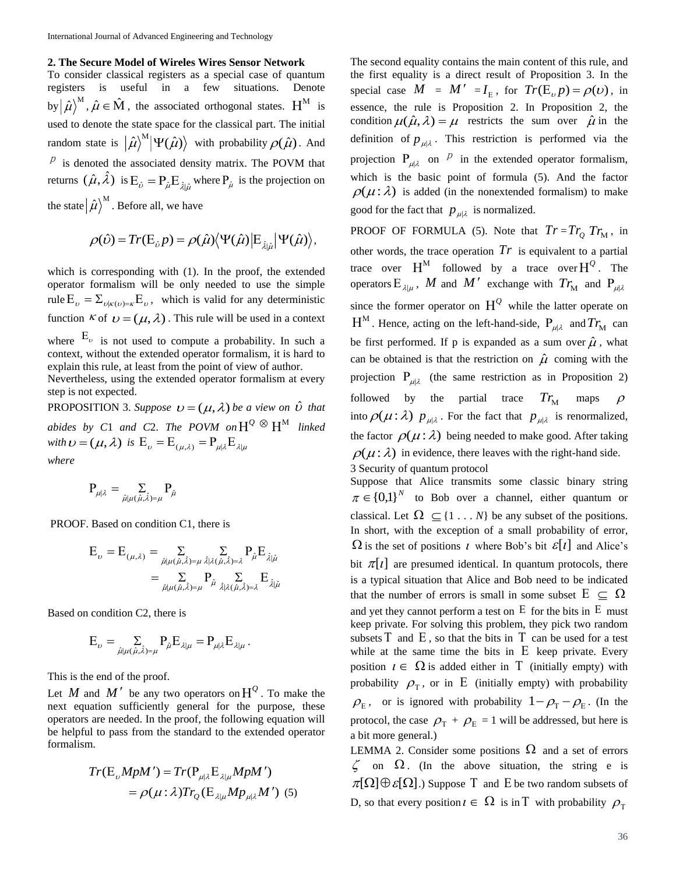### **2. The Secure Model of Wireles Wires Sensor Network**

To consider classical registers as a special case of quantum registers is useful in a few situations. Denote by  $\ket{\hat{\mu}}^M$ ,  $\hat{\mu} \in \hat{M}$ , the associated orthogonal states.  $H^M$  is used to denote the state space for the classical part. The initial random state is  $|\hat{\mu}\rangle^M |\Psi(\hat{\mu})\rangle$  with probability  $\rho(\hat{\mu})$ . And

 $P$  is denoted the associated density matrix. The POVM that returns  $(\hat{\mu}, \hat{\lambda})$  is  $E_{\hat{\nu}} = P_{\hat{\mu}} E_{\hat{\lambda}|\hat{\mu}}$  where  $P_{\hat{\mu}}$  is the projection on the state  $\ket{\hat{\mu}}^{\text{M}}$  . Before all, we have

$$
\rho(\hat{\nu}) = Tr(\mathbf{E}_{\hat{\nu}} p) = \rho(\hat{\mu}) \langle \Psi(\hat{\mu}) | \mathbf{E}_{\hat{\lambda}|\hat{\mu}} | \Psi(\hat{\mu}) \rangle,
$$

which is corresponding with (1). In the proof, the extended operator formalism will be only needed to use the simple rule  $E_{\nu} = \sum_{\nu | \kappa(\nu) = \kappa} E_{\nu}$ , which is valid for any deterministic function K of  $v = (\mu, \lambda)$ . This rule will be used in a context where  $E_{\nu}$  is not used to compute a probability. In such a

context, without the extended operator formalism, it is hard to explain this rule, at least from the point of view of author.

Nevertheless, using the extended operator formalism at every step is not expected.

**PROPOSITION** 3. Suppose  $v = (\mu, \lambda)$  be a view on  $\hat{v}$  that *abides by C1 and C2. The POVM on*  $H^{\mathcal{Q}} \otimes H^M$  *linked* with  $\boldsymbol{\nu} = (\mu, \lambda)$  is  $\boldsymbol{\mathrm{E}}_{\nu} = \boldsymbol{\mathrm{E}}_{(\mu, \lambda)} = \boldsymbol{\mathrm{P}}_{\mu | \lambda} \boldsymbol{\mathrm{E}}_{\lambda | \mu}$ *where*

$$
\mathbf{P}_{\mu|\lambda} = \sum_{\hat{\mu}|\mu(\hat{\mu},\hat{\lambda})=\mu} \mathbf{P}_{\hat{\mu}}
$$

PROOF. Based on condition C1, there is

$$
E_{\nu} = E_{(\mu,\lambda)} = \sum_{\hat{\mu}|\mu(\hat{\mu},\hat{\lambda})=\mu} \sum_{\hat{\lambda}|\lambda(\hat{\mu},\hat{\lambda})=\lambda} P_{\hat{\mu}} E_{\hat{\lambda}|\hat{\mu}}
$$

$$
= \sum_{\hat{\mu}|\mu(\hat{\mu},\hat{\lambda})=\mu} P_{\hat{\mu}} \sum_{\hat{\lambda}|\lambda(\hat{\mu},\hat{\lambda})=\lambda} E_{\hat{\lambda}|\hat{\mu}}
$$

Based on condition C2, there is

$$
E_\nu = \mathop{\Sigma}\limits_{\hat\mu\mid\mu(\hat\mu,\hat\lambda)=\mu} P_{\hat\mu} E_{\lambda\mid\mu} = P_{\mu\mid\lambda} E_{\lambda\mid\mu}\,.
$$

This is the end of the proof.

Let M and M' be any two operators on  $H^Q$ . To make the next equation sufficiently general for the purpose, these operators are needed. In the proof, the following equation will be helpful to pass from the standard to the extended operator formalism.

$$
Tr(\mathbf{E}_{v} M p M') = Tr(\mathbf{P}_{\mu | \lambda} \mathbf{E}_{\lambda | \mu} M p M')
$$
  
=  $\rho(\mu : \lambda) Tr_{Q}(\mathbf{E}_{\lambda | \mu} M p_{\mu | \lambda} M')$  (5)

The second equality contains the main content of this rule, and the first equality is a direct result of Proposition 3. In the special case  $M = M' = I_E$ , for  $Tr(E_p p) = \rho(v)$ , in essence, the rule is Proposition 2. In Proposition 2, the condition  $\mu(\hat{\mu}, \lambda) = \mu$  restricts the sum over  $\hat{\mu}$  in the definition of  $p_{\mu|\lambda}$ . This restriction is performed via the projection  $P_{\mu | \lambda}$  on  $P$  in the extended operator formalism, which is the basic point of formula (5). And the factor  $\rho(\mu : \lambda)$  is added (in the nonextended formalism) to make good for the fact that  $p_{\mu|\lambda}$  is normalized.

**PROOF OF FORMULA** (5). Note that  $Tr = Tr_Q Tr_M$ , in other words, the trace operation  $Tr$  is equivalent to a partial trace over  $H^M$  followed by a trace over  $H^Q$ . The operators  $E_{\lambda|\mu}$ , *M* and *M'* exchange with  $Tr_M$  and  $P_{\mu|\lambda}$ since the former operator on  $H^{\mathcal{Q}}$  while the latter operate on  $H^M$ . Hence, acting on the left-hand-side,  $P_{\mu\not| \lambda}$  and  $Tr_M$  can be first performed. If p is expanded as a sum over  $\hat{\mu}$ , what can be obtained is that the restriction on  $\hat{\mu}$  coming with the projection  $P_{\mu\lambda}$  (the same restriction as in Proposition 2) followed by the partial trace  $Tr_{\rm M}$ maps  $\rho$ into  $\rho(\mu : \lambda)$   $p_{\mu|\lambda}$ . For the fact that  $p_{\mu|\lambda}$  is renormalized, the factor  $\rho(\mu : \lambda)$  being needed to make good. After taking  $\rho(\mu : \lambda)$  in evidence, there leaves with the right-hand side. 3 Security of quantum protocol

Suppose that Alice transmits some classic binary string  $\pi \in \{0,1\}^N$  to Bob over a channel, either quantum or classical. Let  $\Omega \subseteq \{1 \dots N\}$  be any subset of the positions. In short, with the exception of a small probability of error,  $\Omega$  is the set of positions t where Bob's bit  $\varepsilon[t]$  and Alice's bit  $\pi[t]$  are presumed identical. In quantum protocols, there is a typical situation that Alice and Bob need to be indicated that the number of errors is small in some subset  $E \subseteq \Omega$ and yet they cannot perform a test on  $E$  for the bits in  $E$  must keep private. For solving this problem, they pick two random subsets  $\Gamma$  and  $\Gamma$ , so that the bits in  $\Gamma$  can be used for a test while at the same time the bits in  $E$  keep private. Every position  $t \in \Omega$  is added either in T (initially empty) with probability  $\rho_{\rm T}$ , or in E (initially empty) with probability  $\rho_{\rm E}$ , or is ignored with probability  $1 - \rho_{\rm T} - \rho_{\rm E}$ . (In the protocol, the case  $\rho_{\rm T} + \rho_{\rm E} = 1$  will be addressed, but here is a bit more general.)

LEMMA 2. Consider some positions  $\Omega$  and a set of errors  $\zeta$  on  $\Omega$ . (In the above situation, the string e is  $\pi[\Omega]\oplus \varepsilon[\Omega]$ .) Suppose T and E be two random subsets of D, so that every position  $\iota \in \Omega$  is in T with probability  $\rho_{\tau}$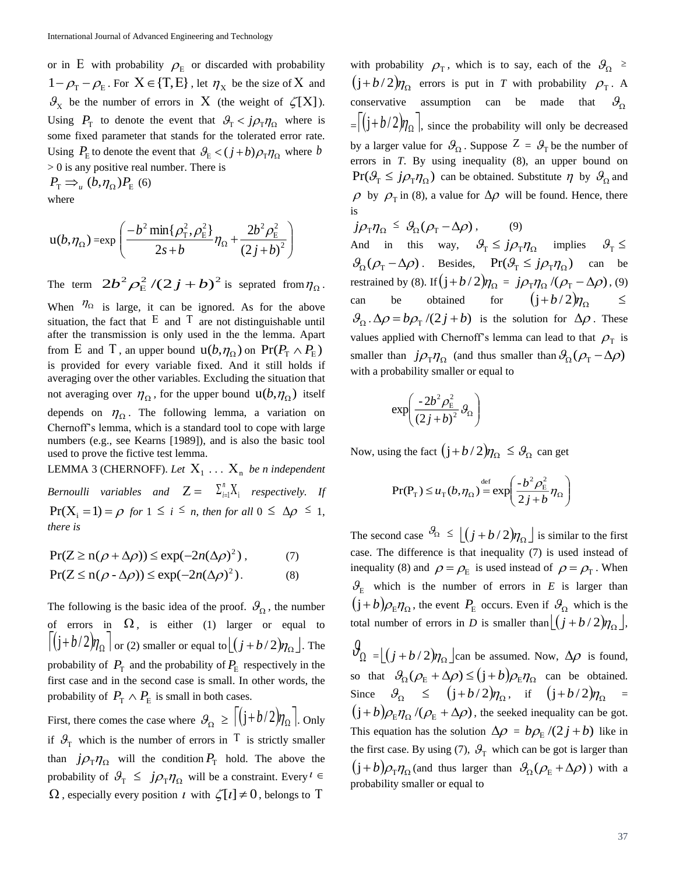or in E with probability  $\rho$ <sub>E</sub> or discarded with probability  $1 - \rho_{\rm T} - \rho_{\rm E}$ . For  $X \in \{T, E\}$ , let  $\eta_{\rm X}$  be the size of X and  $\mathcal{S}_X$  be the number of errors in X (the weight of  $\zeta[X]$ ). Using  $P_{\text{T}}$  to denote the event that  $\theta_{\text{T}} < j \rho_{\text{T}} \eta_{\Omega}$  where is some fixed parameter that stands for the tolerated error rate. Using  $P_{\rm E}$  to denote the event that  $\mathcal{G}_{\rm E} < (j+b)\rho_{\rm T}\eta_{\rm O}$  where b > 0 is any positive real number. There is

 $P_{\rm T} \Rightarrow_{\rm u} (b, \eta_{\Omega}) P_{\rm E}$  (6) where

$$
u(b,\eta_{\Omega}) = \exp\left(\frac{-b^2 \min\{\rho_{\rm T}^2, \rho_{\rm E}^2\}}{2s + b} \eta_{\Omega} + \frac{2b^2 \rho_{\rm E}^2}{(2j + b)^2}\right)
$$

The term  $2b^2 \rho_E^2/(2j+b)^2$  is seprated from  $\eta_\Omega$ .

When  $\eta_{\Omega}$  is large, it can be ignored. As for the above situation, the fact that  $E$  and  $T$  are not distinguishable until after the transmission is only used in the the lemma. Apart from E and T, an upper bound  $u(b, \eta_{\Omega})$  on  $Pr(P_{T} \wedge P_{E})$ is provided for every variable fixed. And it still holds if averaging over the other variables. Excluding the situation that not averaging over  $\eta_{\Omega}$ , for the upper bound  $\mathfrak{u}(b, \eta_{\Omega})$  itself depends on  $\eta_{\Omega}$ . The following lemma, a variation on Chernoff's lemma, which is a standard tool to cope with large numbers (e.g., see Kearns [1989]), and is also the basic tool used to prove the fictive test lemma. LEMMA 3 (CHERNOFF). Let  $X_1 \ldots X_n$  be *n* independent

*Bernoulli variables and*  $Z = \sum_{i=1}^{n} X_i$ *n*  $\int_{i=1}^{a} \lambda_i$  respectively. If  $Pr(X_i = 1) = \rho$  for  $1 \le i \le n$ , then for all  $0 \le \Delta \rho \le 1$ , *there is*

$$
Pr(Z \ge n(\rho + \Delta \rho)) \le \exp(-2n(\Delta \rho)^2), \tag{7}
$$

$$
Pr(Z \le n(\rho - \Delta \rho)) \le \exp(-2n(\Delta \rho)^{2}).
$$
 (8)

The following is the basic idea of the proof.  $\mathcal{G}_{\Omega}$ , the number of errors in  $\Omega$ , is either (1) larger or equal to  $\left[ (j + b/2) \eta_{\Omega} \right]$  or (2) smaller or equal to  $\left[ (j + b/2) \eta_{\Omega} \right]$ . The probability of  $P_{\text{T}}$  and the probability of  $P_{\text{E}}$  respectively in the first case and in the second case is small. In other words, the probability of  $P_{\text{T}} \wedge P_{\text{E}}$  is small in both cases.

First, there comes the case where  $\mathcal{G}_{\Omega} \geq \left[ \left( j + b/2 \right) \eta_{\Omega} \right]$ . Only if  $\mathcal{G}_{T}$  which is the number of errors in T is strictly smaller than  $j\rho_{\rm T}\eta_{\rm Q}$  will the condition  $P_{\rm T}$  hold. The above the probability of  $\mathcal{G}_{T} \leq j \rho_{T} \eta_{\Omega}$  will be a constraint. Every  $l \in$  $\Omega$ , especially every position *t* with  $\zeta[t] \neq 0$ , belongs to T

with probability  $\rho_{\rm T}$ , which is to say, each of the  $\mathcal{S}_{\Omega}$   $\geq$  $(j+b/2)\eta_{\Omega}$  errors is put in *T* with probability  $\rho_{\text{T}}$ . A conservative assumption can be made that  $\theta_{\Omega}$  $=\left[\left(j+b/2\right)\eta_{\Omega}\right]$ , since the probability will only be decreased by a larger value for  $\mathcal{G}_{\Omega}$ . Suppose  $Z = \mathcal{G}_{\Gamma}$  be the number of errors in *T*. By using inequality (8), an upper bound on  $Pr(\mathcal{G}_T \leq j \rho_T \eta_{\Omega})$  can be obtained. Substitute  $\eta$  by  $\mathcal{G}_{\Omega}$  and  $\rho$  by  $\rho_{\text{T}}$  in (8), a value for  $\Delta \rho$  will be found. Hence, there is

 $j\rho_{\rm T} \eta_{\Omega} \leq \vartheta_{\Omega} (\rho_{\rm T} - \Delta \rho)$ , (9) And in this way,  $\theta_{\rm T} \leq j \rho_{\rm T} \eta_{\Omega}$  implies  $\theta_{\rm T} \leq$  $\mathcal{G}_{\Omega}(\rho_{\rm T} - \Delta \rho)$ . Besides,  $\Pr(\mathcal{G}_{\Gamma} \leq j \rho_{\rm T} \eta_{\Omega})$  can be restrained by (8). If  $(j+b/2)\eta_{\Omega} = j\rho_{\text{T}}\eta_{\Omega}/(\rho_{\text{T}} - \Delta \rho)$ , (9) can be obtained for  $(j+b/2)\eta_{\Omega}$   $\leq$  $\mathcal{B}_{\Omega} \cdot \Delta \rho = b \rho_{\text{T}} / (2j + b)$  is the solution for  $\Delta \rho$ . These values applied with Chernoff's lemma can lead to that  $\rho_{\text{T}}$  is smaller than  $j\rho_{\rm T} \eta_{\Omega}$  (and thus smaller than  $\mathcal{G}_{\Omega}(\rho_{\rm T} - \Delta \rho)$ ) with a probability smaller or equal to

$$
\exp\!\!\left(\frac{-2b^2\rho_{\rm E}^2}{\left(2j+b\right)^2}\,g_{\Omega}\right)
$$

Now, using the fact  $(j + b/2)\eta_{\Omega} \leq \theta_{\Omega}$  can get

$$
\Pr(\mathbf{P}_{\mathrm{T}}) \leq u_{\mathrm{T}}(b, \eta_{\Omega}) \stackrel{\mathrm{def}}{=} \exp\left(\frac{-b^2 \rho_{\mathrm{E}}^2}{2j + b} \eta_{\Omega}\right)
$$

The second case  $\theta_{\Omega} \leq \left[ \left( j + b / 2 \right) \eta_{\Omega} \right]$  is similar to the first case. The difference is that inequality (7) is used instead of inequality (8) and  $\rho = \rho_E$  is used instead of  $\rho = \rho_T$ . When  $\mathcal{G}_E$  which is the number of errors in *E* is larger than  $(j+b)\rho_{\rm E}\eta_{\Omega}$ , the event  $P_{\rm E}$  occurs. Even if  $\mathcal{G}_{\Omega}$  which is the total number of errors in *D* is smaller than  $\lfloor (j + b/2)\eta_{\Omega} \rfloor$ ,

 $\theta_{\Omega} = \lfloor (j + b/2) \eta_{\Omega} \rfloor$ can be assumed. Now,  $\Delta \rho$  is found, so that  $\mathcal{G}_{\Omega}(\rho_{E} + \Delta \rho) \leq (j+b)\rho_{E}\eta_{\Omega}$  can be obtained. Since  $\theta_{\Omega} \leq (j+b/2)\eta_{\Omega}$ , if  $(j+b/2)\eta_{\Omega} =$  $(j+b)\rho_{\rm E}\eta_\Omega/(\rho_{\rm E}+\Delta\rho)$ , the seeked inequality can be got. This equation has the solution  $\Delta \rho = b \rho_{\rm E} / (2j + b)$  like in the first case. By using (7),  $\mathcal{G}_{T}$  which can be got is larger than  $(j+b)\rho_{\rm T}\eta_{\rm \Omega}$  (and thus larger than  $\mathcal{G}_{\rm \Omega}(\rho_{\rm E}+\Delta\rho)$  ) with a probability smaller or equal to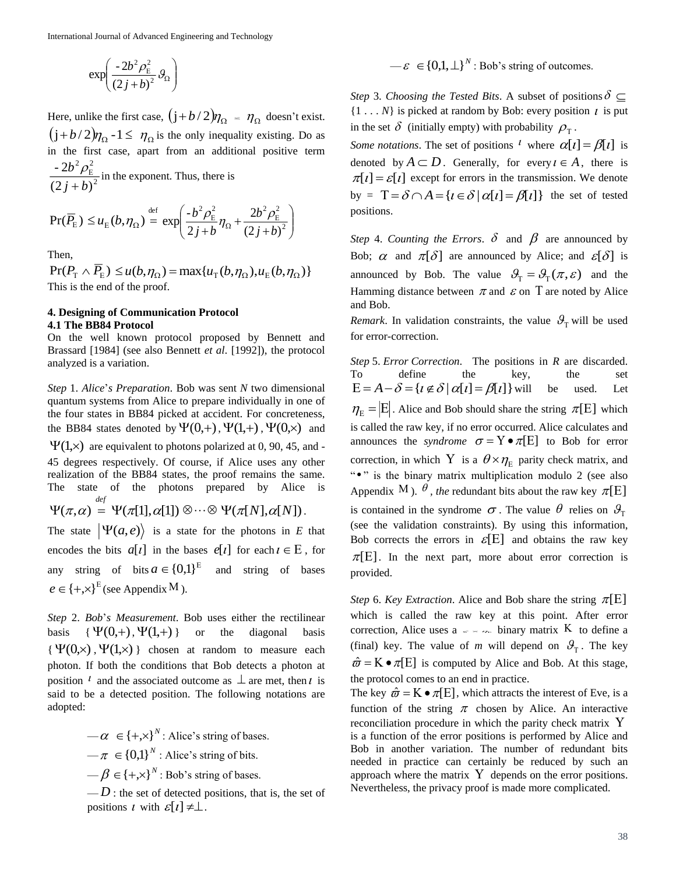$$
\exp\left(\frac{-2b^2\rho_{\rm E}^2}{(2j+b)^2}g_{\Omega}\right)
$$

Here, unlike the first case,  $(j+b/2)\eta_{\Omega} = \eta_{\Omega}$  doesn't exist.  $(j + b/2)\eta_{\Omega}$  -1  $\leq \eta_{\Omega}$  is the only inequality existing. Do as in the first case, apart from an additional positive term 2 2 - 2 *b*

2  $(2 j + b)$ *j b*  $^+$  $\frac{\rho_{\rm E}}{\rho_{\rm E}}$  in the exponent. Thus, there is

$$
\Pr(\overline{P_{\rm E}}) \le u_{\rm E}(b, \eta_{\Omega}) \stackrel{\text{def}}{=} \exp\left(\frac{-b^2 \rho_{\rm E}^2}{2j + b} \eta_{\Omega} + \frac{2b^2 \rho_{\rm E}^2}{(2j + b)^2}\right)
$$

Then,

 $Pr(P_T \wedge P_E) \leq u(b, \eta_{\Omega}) = \max\{u_T(b, \eta_{\Omega}), u_E(b, \eta_{\Omega})\}$ This is the end of the proof.

# **4. Designing of Communication Protocol 4.1 The BB84 Protocol**

On the well known protocol proposed by Bennett and Brassard [1984] (see also Bennett *et al*. [1992]), the protocol analyzed is a variation.

*Step* 1. *Alice*'*s Preparation*. Bob was sent *N* two dimensional quantum systems from Alice to prepare individually in one of the four states in BB84 picked at accident. For concreteness, the BB84 states denoted by  $\Psi(0,+),\Psi(1,+),\Psi(0,x)$  and  $\Psi(1,x)$  are equivalent to photons polarized at 0, 90, 45, and -45 degrees respectively. Of course, if Alice uses any other realization of the BB84 states, the proof remains the same. The state of the photons prepared by Alice is  $\Psi(\pi,\alpha) = \Psi(\pi[1],\alpha[1]) \otimes \cdots \otimes \Psi(\pi[N],\alpha[N]).$ *def* The state  $|\Psi(a, e)\rangle$  is a state for the photons in *E* that encodes the bits  $a[t]$  in the bases  $e[t]$  for each  $t \in E$ , for any string of bits  $a \in \{0,1\}^E$  and string of bases

 $e \in \{+, \times\}^{\mathbb{E}}$  (see Appendix M).

*Step* 2. *Bob*'*s Measurement*. Bob uses either the rectilinear basis {  $\{\Psi(0,+) , \Psi(1,+) \}$ or the diagonal basis  $\{\Psi(0,x),\Psi(1,x)\}\$  chosen at random to measure each photon. If both the conditions that Bob detects a photon at position  $\ell$  and the associated outcome as  $\bot$  are met, then  $\ell$  is said to be a detected position. The following notations are adopted:

> $-\alpha \in \{+, \times\}^N$ : Alice's string of bases.  $-\pi \in \{0,1\}^N$  : Alice's string of bits.  $-\beta \in \{+, \times\}^N$ : Bob's string of bases.

 $-D$ : the set of detected positions, that is, the set of positions t with  $\mathcal{E}[t] \neq \perp$ .

 $-\varepsilon \in \{0,1,\perp\}^N$ : Bob's string of outcomes.

*Step 3. Choosing the Tested Bits.* A subset of positions  $\delta \subseteq$  $\{1 \dots N\}$  is picked at random by Bob: every position  $\iota$  is put in the set  $\delta$  (initially empty) with probability  $\rho_{\rm T}$ .

*Some notations*. The set of positions <sup>*l*</sup> where  $\alpha[t] = \beta[t]$  is denoted by  $A \subset D$ . Generally, for every  $i \in A$ , there is  $\pi[i] = \varepsilon[i]$  except for errors in the transmission. We denote by =  $T = \delta \cap A = {i \in \delta | \alpha[i] = \beta[i]}$  the set of tested positions.

*Step* 4. *Counting the Errors*.  $\delta$  and  $\beta$  are announced by Bob;  $\alpha$  and  $\pi[\delta]$  are announced by Alice; and  $\mathcal{E}[\delta]$  is announced by Bob. The value  $\mathcal{G}_{T} = \mathcal{G}_{T}(\pi, \varepsilon)$  and the Hamming distance between  $\pi$  and  $\varepsilon$  on T are noted by Alice and Bob.

*Remark*. In validation constraints, the value  $\mathcal{G}_{\tau}$  will be used for error-correction.

 $\frac{35q}{12}$ ,  $\frac{3}{2}$ ,  $\frac{3}{2}$ ,  $\frac{3}{2}$ ,  $\frac{3}{2}$ ,  $\frac{3}{2}$ ,  $\frac{3}{2}$ ,  $\frac{3}{2}$ ,  $\frac{3}{2}$ ,  $\frac{3}{2}$ ,  $\frac{3}{2}$ ,  $\frac{3}{2}$ ,  $\frac{3}{2}$ ,  $\frac{3}{2}$ ,  $\frac{3}{2}$ ,  $\frac{3}{2}$ ,  $\frac{3}{2}$ ,  $\frac{3}{2}$ ,  $\frac{3}{2}$ ,  $\frac{3}{2}$ *Step* 5. *Error Correction*. The positions in *R* are discarded. To define the key, the set  $E = A - \delta = \{i \notin \delta \mid \alpha[i] = \beta[i]\}$  will be used. Let  $\eta_{\rm E} = \vert E \vert$ . Alice and Bob should share the string  $\pi[E]$  which is called the raw key, if no error occurred. Alice calculates and announces the *syndrome*  $\sigma = Y \bullet \pi[E]$  to Bob for error correction, in which Y is a  $\theta \times \eta_E$  parity check matrix, and ". is the binary matrix multiplication modulo 2 (see also Appendix M).  $\theta$ , the redundant bits about the raw key  $\pi[E]$ is contained in the syndrome  $\sigma$ . The value  $\theta$  relies on  $\mathcal{G}_{T}$ (see the validation constraints). By using this information, Bob corrects the errors in  $\mathcal{E}[E]$  and obtains the raw key  $\pi$ [E]. In the next part, more about error correction is provided.

*Step* 6. *Key Extraction*. Alice and Bob share the string  $\pi$ [E] which is called the raw key at this point. After error correction, Alice uses  $a \rightarrow \infty$  binary matrix K to define a (final) key. The value of *m* will depend on  $\mathcal{G}_{T}$ . The key  $\hat{\omega} = K \bullet \pi[E]$  is computed by Alice and Bob. At this stage, the protocol comes to an end in practice.

The key  $\hat{\omega} = K \bullet \pi[E]$ , which attracts the interest of Eve, is a function of the string  $\pi$  chosen by Alice. An interactive reconciliation procedure in which the parity check matrix Y is a function of the error positions is performed by Alice and Bob in another variation. The number of redundant bits needed in practice can certainly be reduced by such an approach where the matrix  $Y$  depends on the error positions. Nevertheless, the privacy proof is made more complicated.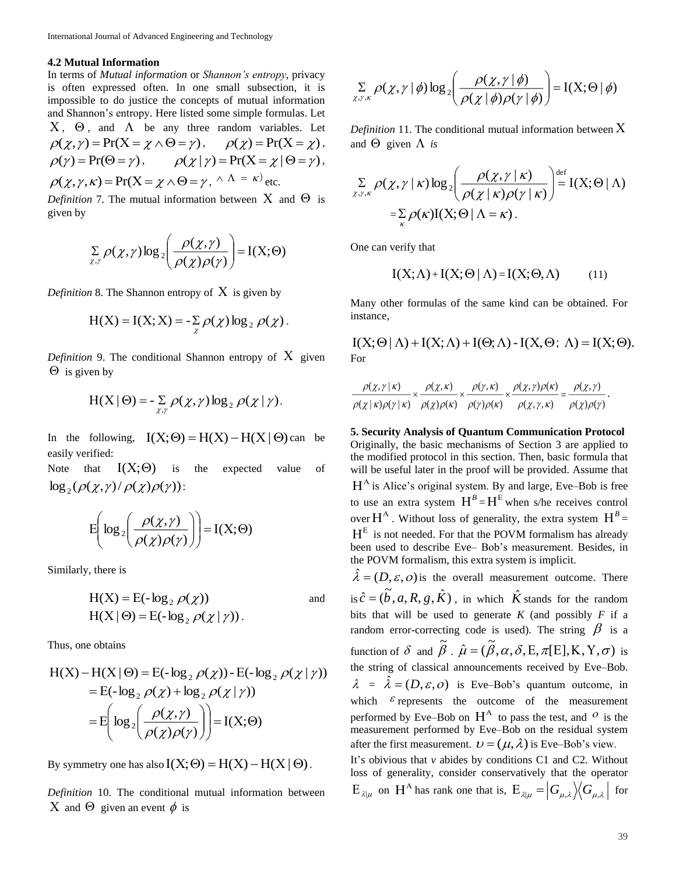### **4.2 Mutual Information**

In terms of *Mutual information* or *Shannon's entropy*, privacy is often expressed often. In one small subsection, it is impossible to do justice the concepts of mutual information and Shannon's entropy. Here listed some simple formulas. Let  $X$ ,  $\Theta$ , and  $\Lambda$  be any three random variables. Let  $\rho(\chi, \gamma) = \Pr(X = \chi \wedge \Theta = \gamma), \quad \rho(\chi) = \Pr(X = \chi),$  $\rho(\gamma) = \Pr(\Theta = \gamma), \qquad \rho(\chi | \gamma) = \Pr(X = \chi | \Theta = \gamma),$  $\rho(\chi, \gamma, \kappa) = \Pr(X = \chi \wedge \Theta = \gamma, \wedge \Lambda = \kappa)$  etc.

*Definition* 7. The mutual information between  $X$  and  $\Theta$  is given by

$$
\sum_{\chi,\gamma} \rho(\chi,\gamma) \log_2\left(\frac{\rho(\chi,\gamma)}{\rho(\chi)\rho(\gamma)}\right) = I(X;\Theta)
$$

*Definition* 8. The Shannon entropy of  $X$  is given by

$$
H(X) = I(X; X) = -\sum_{\chi} \rho(\chi) \log_2 \rho(\chi).
$$

*Definition* 9. The conditional Shannon entropy of  $X$  given  $\Theta$  is given by

$$
H(X | \Theta) = -\sum_{\chi, \gamma} \rho(\chi, \gamma) \log_2 \rho(\chi | \gamma).
$$

In the following,  $I(X; \Theta) = H(X) - H(X | \Theta)$  can be easily verified:

Note that  $I(X;\Theta)$ is the expected value of  $\log_2(\rho(\chi,\gamma)/\rho(\chi)\rho(\gamma))$  :

$$
E\left(\log_2\left(\frac{\rho(\chi,\gamma)}{\rho(\chi)\rho(\gamma)}\right)\right) = I(X;\Theta)
$$

Similarly, there is

$$
H(X) = E(-\log_2 \rho(\chi)) \qquad \text{and}
$$
  
 
$$
H(X | \Theta) = E(-\log_2 \rho(\chi | \gamma)).
$$

Thus, one obtains

$$
H(X) - H(X | \Theta) = E(-\log_2 \rho(\chi)) - E(-\log_2 \rho(\chi | \gamma))
$$
  
= E(-\log\_2 \rho(\chi) + \log\_2 \rho(\chi | \gamma))  
= E\left(\log\_2 \left(\frac{\rho(\chi, \gamma)}{\rho(\chi)\rho(\gamma)}\right)\right) = I(X; \Theta)

By symmetry one has also  $I(X; \Theta) = H(X) - H(X | \Theta)$ .

*Definition* 10. The conditional mutual information between X and  $\Theta$  given an event  $\phi$  is

$$
\sum_{\chi,\gamma,\kappa} \rho(\chi,\gamma \mid \phi) \log_2 \left( \frac{\rho(\chi,\gamma \mid \phi)}{\rho(\chi \mid \phi) \rho(\gamma \mid \phi)} \right) = I(X; \Theta \mid \phi)
$$

*Definition* 11. The conditional mutual information between  $X$ and  $\Theta$  given  $\Lambda$  is

$$
\sum_{\chi,\gamma,\kappa} \rho(\chi,\gamma \mid \kappa) \log_2 \left( \frac{\rho(\chi,\gamma \mid \kappa)}{\rho(\chi \mid \kappa) \rho(\gamma \mid \kappa)} \right) \stackrel{\text{def}}{=} I(X;\Theta \mid \Lambda)
$$

$$
= \sum_{\kappa} \rho(\kappa) I(X;\Theta \mid \Lambda = \kappa).
$$

One can verify that

$$
I(X; \Lambda) + I(X; \Theta | \Lambda) = I(X; \Theta, \Lambda)
$$
 (11)

Many other formulas of the same kind can be obtained. For instance,

 $I(X; \Theta | \Lambda) + I(X; \Lambda) + I(\Theta; \Lambda) - I(X; \Theta; \Lambda) = I(X; \Theta).$ For

$$
\frac{\rho(\chi,\gamma \mid \kappa)}{\rho(\chi \mid \kappa)\rho(\gamma \mid \kappa)} \times \frac{\rho(\chi,\kappa)}{\rho(\chi)\rho(\kappa)} \times \frac{\rho(\gamma,\kappa)}{\rho(\gamma)\rho(\kappa)} \times \frac{\rho(\chi,\gamma)\rho(\kappa)}{\rho(\chi,\gamma,\kappa)} = \frac{\rho(\chi,\gamma)}{\rho(\chi)\rho(\gamma)}.
$$

**5. Security Analysis of Quantum Communication Protocol** Originally, the basic mechanisms of Section 3 are applied to the modified protocol in this section. Then, basic formula that will be useful later in the proof will be provided. Assume that  $H<sup>A</sup>$  is Alice's original system. By and large, Eve–Bob is free to use an extra system  $H^B = H^E$  when s/he receives control over  $H^A$ . Without loss of generality, the extra system  $H^B =$  $H<sup>E</sup>$  is not needed. For that the POVM formalism has already been used to describe Eve– Bob's measurement. Besides, in the POVM formalism, this extra system is implicit.

 $\hat{\lambda} = (D, \varepsilon, o)$  is the overall measurement outcome. There is  $\hat{c} = (\tilde{b}, a, R, g, \hat{K})$  $\hat{c} = (\tilde{b}, a, R, g, \hat{K})$ , in which  $\hat{K}$  stands for the random bits that will be used to generate  $K$  (and possibly  $F$  if a random error-correcting code is used). The string  $\beta$  is a function of  $\delta$  and  $\tilde{\beta}$ .  $\hat{\mu} = (\tilde{\beta}, \alpha, \delta, E, \pi[E], K, Y, \sigma)$  is the string of classical announcements received by Eve–Bob.  $\lambda = \hat{\lambda} = (D, \varepsilon, o)$  is Eve–Bob's quantum outcome, in which  $\epsilon$  represents the outcome of the measurement performed by Eve–Bob on  $H^A$  to pass the test, and  $O$  is the measurement performed by Eve–Bob on the residual system after the first measurement.  $\mathbf{v} = (\mu, \lambda)$  is Eve–Bob's view. It's obivious that *v* abides by conditions C1 and C2. Without loss of generality, consider conservatively that the operator

 $E_{\lambda|\mu}$  on  $H^A$  has rank one that is,  $E_{\lambda|\mu} = |G_{\mu,\lambda}\rangle \langle G_{\mu,\lambda}|$  for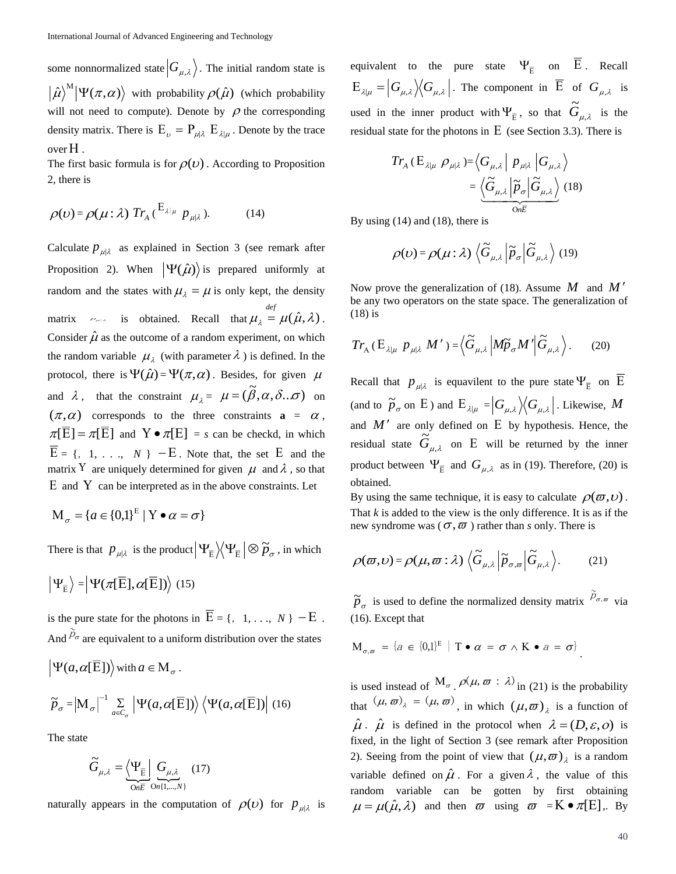some nonnormalized state  $|G_{\mu,\lambda}\rangle$ . The initial random state is  $\hat{\mu}$ <sup>M</sup>  $|\Psi(\pi,\alpha)\rangle$  with probability  $\rho(\hat{\mu})$  (which probability will not need to compute). Denote by  $\rho$  the corresponding density matrix. There is  $E_{\nu} = P_{\mu | \lambda} E_{\lambda | \mu}$ . Denote by the trace over .

The first basic formula is for  $\rho(\nu)$ . According to Proposition 2, there is

$$
\rho(\nu) = \rho(\mu : \lambda) \ Tr_{A} \left( \begin{matrix} E_{\lambda|\mu} & p_{\mu|\lambda} \end{matrix} \right). \tag{14}
$$

Calculate  $p_{\mu\lambda}$  as explained in Section 3 (see remark after Proposition 2). When  $|\Psi(\hat{\mu})\rangle$  is prepared uniformly at random and the states with  $\mu_{\lambda} = \mu$  is only kept, the density matrix  $\epsilon_{\text{max}}$  is obtained. Recall that  $\mu_{\lambda} = \mu(\hat{\mu}, \lambda)$  $= \mu(\hat{\mu}, \lambda)$ . Consider  $\hat{\mu}$  as the outcome of a random experiment, on which the random variable  $\mu_{\lambda}$  (with parameter  $\lambda$ ) is defined. In the protocol, there is  $\Psi(\hat{\mu}) = \Psi(\pi,\alpha)$ . Besides, for given  $\mu$ and  $\lambda$ , that the constraint  $\mu_{\lambda} = \mu = (\tilde{\beta}, \alpha, \delta \dots \sigma)$  on  $(\pi,\alpha)$  corresponds to the three constraints  $\mathbf{a} = \alpha$ ,  $\pi[E] = \pi[E]$  and  $Y \bullet \pi[E] = s$  can be checkd, in which  $E = \{1, 1, \ldots, N\}$  – E. Note that, the set E and the matrix Y are uniquely determined for given  $\mu$  and  $\lambda$ , so that  $E$  and Y can be interpreted as in the above constraints. Let

$$
\mathbf{M}_{\sigma} = \{a \in \{0,1\}^{E} \mid \mathbf{Y} \bullet \alpha = \sigma\}
$$

There is that  $p_{\mu|\lambda}$  is the product  $\Psi_{\overline{E}} \rangle \langle \Psi_{\overline{E}} | \otimes \widetilde{p}_{\sigma}$ , in which

$$
\left|\Psi_{\overline{\mathrm{E}}}\right\rangle=\left|\Psi(\pi[\overline{\mathrm{E}}],\alpha[\overline{\mathrm{E}}])\right\rangle\ (15)
$$

is the pure state for the photons in  $\overline{E} = \{1, 1, ..., N\}$  –  $\overline{E}$ . And  $\widetilde{p}_{\sigma}$  are equivalent to a uniform distribution over the states

$$
\left|\Psi(a,\alpha[\overline{E}])\right\rangle \text{ with } a \in M_{\sigma}.
$$
  

$$
\widetilde{p}_{\sigma} = \left|M_{\sigma}\right|^{-1} \sum_{a \in C_{\sigma}} \left|\Psi(a,\alpha[\overline{E}])\right\rangle \left\langle \Psi(a,\alpha[\overline{E}])\right| (16)
$$

The state

$$
\widetilde{G}_{\mu,\lambda} = \underbrace{\left\langle \Psi_{\overline{\mathbf{E}}} \right|}_{\text{On } \overline{\mathbf{E}}} \underbrace{G_{\mu,\lambda}}_{\text{On } \{1,\dots,N\}} \quad (17)
$$

naturally appears in the computation of  $\rho(\nu)$  for  $p_{\mu|\lambda}$  is

equivalent to the pure state  $\Psi_{\overline{E}}$  on E. Recall  $E_{\lambda|\mu} = |G_{\mu,\lambda}\rangle \langle G_{\mu,\lambda}|$ . The component in E of  $G_{\mu,\lambda}$  is used in the inner product with  $\Psi_{\overline{E}}$ , so that  $G_{\mu,\lambda}$  $\tilde{G}_{n,i}$  is the residual state for the photons in  $E$  (see Section 3.3). There is

$$
Tr_{A} (E_{\lambda|\mu} \rho_{\mu|\lambda}) = \left\langle G_{\mu,\lambda} \middle| p_{\mu|\lambda} \middle| G_{\mu,\lambda} \right\rangle
$$
  
= 
$$
\underbrace{\left\langle \widetilde{G}_{\mu,\lambda} \middle| \widetilde{p}_{\sigma} \middle| \widetilde{G}_{\mu,\lambda} \right\rangle}_{\text{On}\overline{E}} (18)
$$

By using (14) and (18), there is

$$
\rho(\nu) = \rho(\mu : \lambda) \left\langle \widetilde{G}_{\mu,\lambda} \left| \widetilde{p}_{\sigma} \right| \widetilde{G}_{\mu,\lambda} \right\rangle (19)
$$

Now prove the generalization of (18). Assume M and M' be any two operators on the state space. The generalization of (18) is

$$
Tr_{A} (E_{\lambda|\mu} P_{\mu|\lambda} M') = \langle \widetilde{G}_{\mu,\lambda} | M \widetilde{p}_{\sigma} M' | \widetilde{G}_{\mu,\lambda} \rangle. \tag{20}
$$

Recall that  $p_{\mu | \lambda}$  is equavilent to the pure state  $\Psi_{\overline{E}}$  on E (and to  $\widetilde{p}_{\sigma}$  on E) and  $E_{\lambda|\mu} = |G_{\mu,\lambda}\rangle \langle G_{\mu,\lambda}|$ . Likewise, M and  $M'$  are only defined on  $E$  by hypothesis. Hence, the residual state  $G_{\mu,\lambda}$  $\tilde{G}_{n,i}$  on E will be returned by the inner product between  $\Psi_{\overline{E}}$  and  $G_{\mu,\lambda}$  as in (19). Therefore, (20) is obtained.

By using the same technique, it is easy to calculate  $\rho(\varpi,\nu)$ . That *k* is added to the view is the only difference. It is as if the new syndrome was ( $\sigma$ , $\bar{\omega}$ ) rather than *s* only. There is

$$
\rho(\varpi,\nu) = \rho(\mu,\varpi:\lambda) \left\langle \widetilde{G}_{\mu,\lambda} \left| \widetilde{p}_{\sigma,\varpi} \right| \widetilde{G}_{\mu,\lambda} \right\rangle. \tag{21}
$$

 $\tilde{p}_{\sigma}$  is used to define the normalized density matrix  $\tilde{p}_{\sigma,\varpi}$  via (16). Except that

$$
\mathbf{M}_{\sigma,\varpi} = \{a \in \{0,1\}^E \mid \mathbf{T} \bullet \alpha = \sigma \wedge \mathbf{K} \bullet a = \sigma\}
$$

is used instead of  $M_{\sigma}$ .  $\rho(\mu, \varpi : \lambda)$  in (21) is the probability that  $(\mu, \varpi)_{\lambda} = (\mu, \varpi)$ , in which  $(\mu, \varpi)_{\lambda}$  is a function of  $\hat{\mu}$ .  $\hat{\mu}$  is defined in the protocol when  $\lambda = (D, \varepsilon, O)$  is fixed, in the light of Section 3 (see remark after Proposition 2). Seeing from the point of view that  $(\mu, \varpi)$ <sub> $\lambda$ </sub> is a random variable defined on  $\hat{\mu}$ . For a given  $\lambda$ , the value of this random variable can be gotten by first obtaining  $\mu = \mu(\hat{\mu}, \lambda)$  and then  $\varpi$  using  $\varpi = K \cdot \pi[E]$ , By

.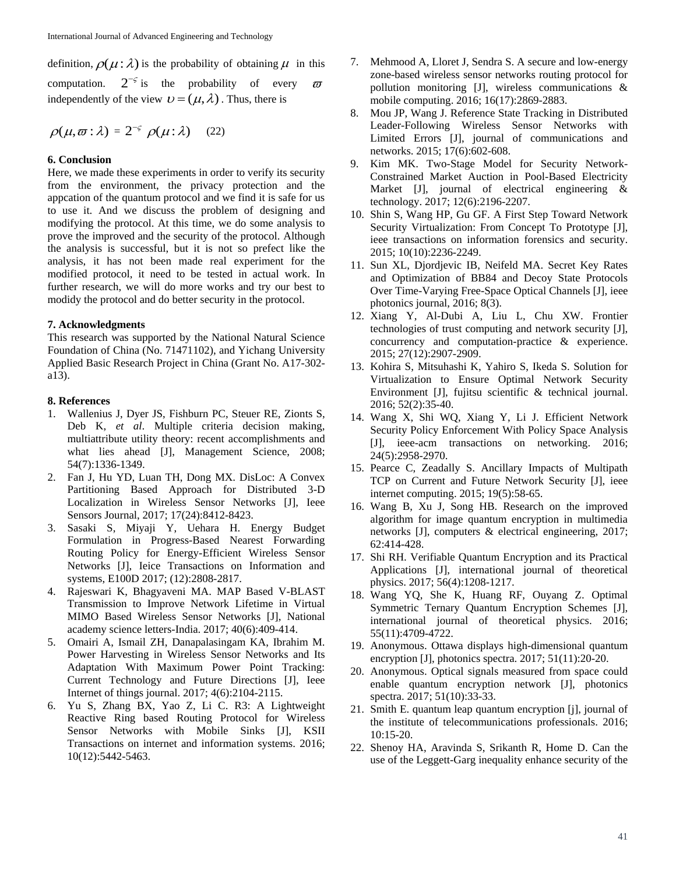definition,  $\rho(\mu : \lambda)$  is the probability of obtaining  $\mu$  in this computation.  $2^{-\varsigma}$  is the probability of every  $\varpi$ independently of the view  $\mathcal{U} = (\mu, \lambda)$ . Thus, there is

$$
\rho(\mu,\varpi:\lambda) = 2^{-\varsigma} \rho(\mu:\lambda) \quad (22)
$$

### **6. Conclusion**

Here, we made these experiments in order to verify its security from the environment, the privacy protection and the appcation of the quantum protocol and we find it is safe for us to use it. And we discuss the problem of designing and modifying the protocol. At this time, we do some analysis to prove the improved and the security of the protocol. Although the analysis is successful, but it is not so prefect like the analysis, it has not been made real experiment for the modified protocol, it need to be tested in actual work. In further research, we will do more works and try our best to modidy the protocol and do better security in the protocol.

### **7. Acknowledgments**

This research was supported by the National Natural Science Foundation of China (No. 71471102), and Yichang University Applied Basic Research Project in China (Grant No. A17-302 a13).

### **8. References**

- 1. Wallenius J, Dyer JS, Fishburn PC, Steuer RE, Zionts S, Deb K, *et al*. Multiple criteria decision making, multiattribute utility theory: recent accomplishments and what lies ahead [J], Management Science, 2008; 54(7):1336-1349.
- 2. Fan J, Hu YD, Luan TH, Dong MX. DisLoc: A Convex Partitioning Based Approach for Distributed 3-D Localization in Wireless Sensor Networks [J], Ieee Sensors Journal, 2017; 17(24):8412-8423.
- 3. Sasaki S, Miyaji Y, Uehara H. Energy Budget Formulation in Progress-Based Nearest Forwarding Routing Policy for Energy-Efficient Wireless Sensor Networks [J], Ieice Transactions on Information and systems, E100D 2017; (12):2808-2817.
- 4. Rajeswari K, Bhagyaveni MA. MAP Based V-BLAST Transmission to Improve Network Lifetime in Virtual MIMO Based Wireless Sensor Networks [J], National academy science letters-India. 2017; 40(6):409-414.
- 5. Omairi A, Ismail ZH, Danapalasingam KA, Ibrahim M. Power Harvesting in Wireless Sensor Networks and Its Adaptation With Maximum Power Point Tracking: Current Technology and Future Directions [J], Ieee Internet of things journal. 2017; 4(6):2104-2115.
- 6. Yu S, Zhang BX, Yao Z, Li C. R3: A Lightweight Reactive Ring based Routing Protocol for Wireless Sensor Networks with Mobile Sinks [J], KSII Transactions on internet and information systems. 2016; 10(12):5442-5463.
- 7. Mehmood A, Lloret J, Sendra S. A secure and low-energy zone-based wireless sensor networks routing protocol for pollution monitoring [J], wireless communications & mobile computing. 2016; 16(17):2869-2883.
- 8. Mou JP, Wang J. Reference State Tracking in Distributed Leader-Following Wireless Sensor Networks with Limited Errors [J], journal of communications and networks. 2015; 17(6):602-608.
- 9. Kim MK. Two-Stage Model for Security Network-Constrained Market Auction in Pool-Based Electricity Market [J], journal of electrical engineering & technology. 2017; 12(6):2196-2207.
- 10. Shin S, Wang HP, Gu GF. A First Step Toward Network Security Virtualization: From Concept To Prototype [J], ieee transactions on information forensics and security. 2015; 10(10):2236-2249.
- 11. Sun XL, Djordjevic IB, Neifeld MA. Secret Key Rates and Optimization of BB84 and Decoy State Protocols Over Time-Varying Free-Space Optical Channels [J], ieee photonics journal, 2016; 8(3).
- 12. Xiang Y, Al-Dubi A, Liu L, Chu XW. Frontier technologies of trust computing and network security [J], concurrency and computation-practice & experience. 2015; 27(12):2907-2909.
- 13. Kohira S, Mitsuhashi K, Yahiro S, Ikeda S. Solution for Virtualization to Ensure Optimal Network Security Environment [J], fujitsu scientific & technical journal. 2016; 52(2):35-40.
- 14. Wang X, Shi WQ, Xiang Y, Li J. Efficient Network Security Policy Enforcement With Policy Space Analysis [J], ieee-acm transactions on networking. 2016; 24(5):2958-2970.
- 15. Pearce C, Zeadally S. Ancillary Impacts of Multipath TCP on Current and Future Network Security [J], ieee internet computing. 2015; 19(5):58-65.
- 16. Wang B, Xu J, Song HB. Research on the improved algorithm for image quantum encryption in multimedia networks [J], computers & electrical engineering, 2017; 62:414-428.
- 17. Shi RH. Verifiable Quantum Encryption and its Practical Applications [J], international journal of theoretical physics. 2017; 56(4):1208-1217.
- 18. Wang YQ, She K, Huang RF, Ouyang Z. Optimal Symmetric Ternary Quantum Encryption Schemes [J], international journal of theoretical physics. 2016; 55(11):4709-4722.
- 19. Anonymous. Ottawa displays high-dimensional quantum encryption [J], photonics spectra. 2017; 51(11):20-20.
- 20. Anonymous. Optical signals measured from space could enable quantum encryption network [J], photonics spectra. 2017; 51(10):33-33.
- 21. Smith E. quantum leap quantum encryption [j], journal of the institute of telecommunications professionals. 2016; 10:15-20.
- 22. Shenoy HA, Aravinda S, Srikanth R, Home D. Can the use of the Leggett-Garg inequality enhance security of the